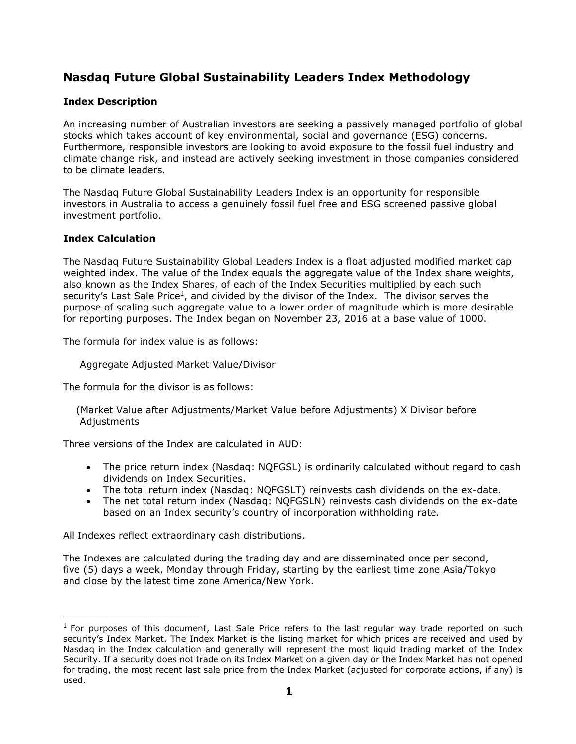# **Nasdaq Future Global Sustainability Leaders Index Methodology**

## **Index Description**

An increasing number of Australian investors are seeking a passively managed portfolio of global stocks which takes account of key environmental, social and governance (ESG) concerns. Furthermore, responsible investors are looking to avoid exposure to the fossil fuel industry and climate change risk, and instead are actively seeking investment in those companies considered to be climate leaders.

The Nasdaq Future Global Sustainability Leaders Index is an opportunity for responsible investors in Australia to access a genuinely fossil fuel free and ESG screened passive global investment portfolio.

#### **Index Calculation**

The Nasdaq Future Sustainability Global Leaders Index is a float adjusted modified market cap weighted index. The value of the Index equals the aggregate value of the Index share weights, also known as the Index Shares, of each of the Index Securities multiplied by each such security's Last Sale Price<sup>1</sup>, and divided by the divisor of the Index. The divisor serves the purpose of scaling such aggregate value to a lower order of magnitude which is more desirable for reporting purposes. The Index began on November 23, 2016 at a base value of 1000.

The formula for index value is as follows:

Aggregate Adjusted Market Value/Divisor

The formula for the divisor is as follows:

 (Market Value after Adjustments/Market Value before Adjustments) X Divisor before **Adjustments** 

Three versions of the Index are calculated in AUD:

- The price return index (Nasdaq: NQFGSL) is ordinarily calculated without regard to cash dividends on Index Securities.
- The total return index (Nasdaq: NQFGSLT) reinvests cash dividends on the ex-date.
- The net total return index (Nasdaq: NQFGSLN) reinvests cash dividends on the ex-date based on an Index security's country of incorporation withholding rate.

All Indexes reflect extraordinary cash distributions.

The Indexes are calculated during the trading day and are disseminated once per second, five (5) days a week, Monday through Friday, starting by the earliest time zone Asia/Tokyo and close by the latest time zone America/New York.

 $<sup>1</sup>$  For purposes of this document, Last Sale Price refers to the last regular way trade reported on such</sup> security's Index Market. The Index Market is the listing market for which prices are received and used by Nasdaq in the Index calculation and generally will represent the most liquid trading market of the Index Security. If a security does not trade on its Index Market on a given day or the Index Market has not opened for trading, the most recent last sale price from the Index Market (adjusted for corporate actions, if any) is used.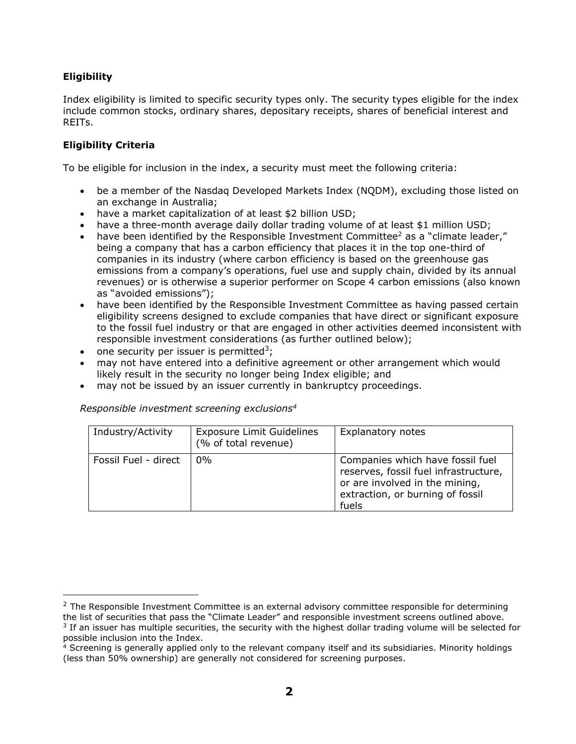## **Eligibility**

Index eligibility is limited to specific security types only. The security types eligible for the index include common stocks, ordinary shares, depositary receipts, shares of beneficial interest and REITs.

### **Eligibility Criteria**

To be eligible for inclusion in the index, a security must meet the following criteria:

- be a member of the Nasdaq Developed Markets Index (NQDM), excluding those listed on an exchange in Australia;
- have a market capitalization of at least \$2 billion USD;
- have a three-month average daily dollar trading volume of at least \$1 million USD;
- have been identified by the Responsible Investment Committee<sup>2</sup> as a "climate leader," being a company that has a carbon efficiency that places it in the top one-third of companies in its industry (where carbon efficiency is based on the greenhouse gas emissions from a company's operations, fuel use and supply chain, divided by its annual revenues) or is otherwise a superior performer on Scope 4 carbon emissions (also known as "avoided emissions");
- have been identified by the Responsible Investment Committee as having passed certain eligibility screens designed to exclude companies that have direct or significant exposure to the fossil fuel industry or that are engaged in other activities deemed inconsistent with responsible investment considerations (as further outlined below);
- one security per issuer is permitted<sup>3</sup>;
- may not have entered into a definitive agreement or other arrangement which would likely result in the security no longer being Index eligible; and
- may not be issued by an issuer currently in bankruptcy proceedings.

#### *Responsible investment screening exclusions<sup>4</sup>*

| Industry/Activity    | <b>Exposure Limit Guidelines</b><br>(% of total revenue) | Explanatory notes                                                                                                                                        |
|----------------------|----------------------------------------------------------|----------------------------------------------------------------------------------------------------------------------------------------------------------|
| Fossil Fuel - direct | $0\%$                                                    | Companies which have fossil fuel<br>reserves, fossil fuel infrastructure,<br>or are involved in the mining,<br>extraction, or burning of fossil<br>fuels |

 $2$  The Responsible Investment Committee is an external advisory committee responsible for determining the list of securities that pass the "Climate Leader" and responsible investment screens outlined above.

<sup>&</sup>lt;sup>3</sup> If an issuer has multiple securities, the security with the highest dollar trading volume will be selected for possible inclusion into the Index.

<sup>&</sup>lt;sup>4</sup> Screening is generally applied only to the relevant company itself and its subsidiaries. Minority holdings (less than 50% ownership) are generally not considered for screening purposes.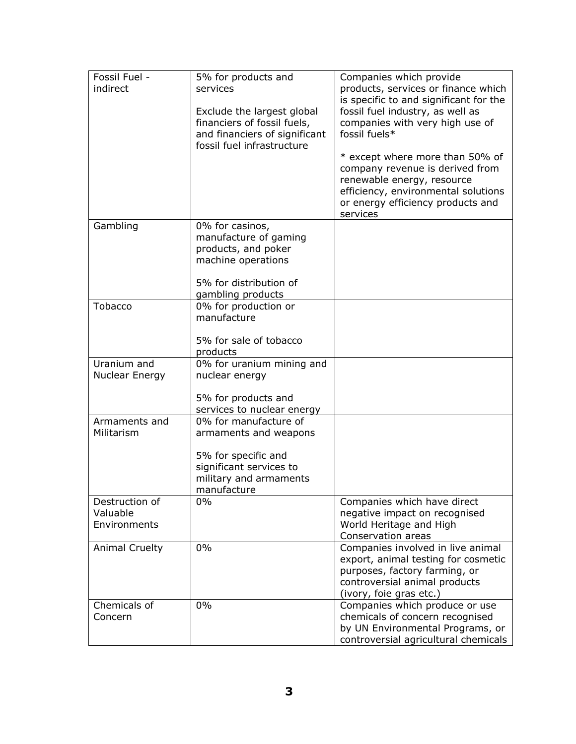| Fossil Fuel -         | 5% for products and                                 | Companies which provide                                                  |
|-----------------------|-----------------------------------------------------|--------------------------------------------------------------------------|
| indirect              | services                                            | products, services or finance which                                      |
|                       |                                                     | is specific to and significant for the                                   |
|                       | Exclude the largest global                          | fossil fuel industry, as well as                                         |
|                       | financiers of fossil fuels,                         | companies with very high use of                                          |
|                       | and financiers of significant                       | fossil fuels*                                                            |
|                       | fossil fuel infrastructure                          |                                                                          |
|                       |                                                     | * except where more than 50% of                                          |
|                       |                                                     | company revenue is derived from                                          |
|                       |                                                     | renewable energy, resource                                               |
|                       |                                                     | efficiency, environmental solutions<br>or energy efficiency products and |
|                       |                                                     | services                                                                 |
| Gambling              | 0% for casinos,                                     |                                                                          |
|                       | manufacture of gaming                               |                                                                          |
|                       | products, and poker                                 |                                                                          |
|                       | machine operations                                  |                                                                          |
|                       | 5% for distribution of                              |                                                                          |
|                       | gambling products                                   |                                                                          |
| Tobacco               | 0% for production or                                |                                                                          |
|                       | manufacture                                         |                                                                          |
|                       |                                                     |                                                                          |
|                       | 5% for sale of tobacco                              |                                                                          |
|                       | products                                            |                                                                          |
| Uranium and           | 0% for uranium mining and                           |                                                                          |
| Nuclear Energy        | nuclear energy                                      |                                                                          |
|                       |                                                     |                                                                          |
|                       | 5% for products and                                 |                                                                          |
| Armaments and         | services to nuclear energy<br>0% for manufacture of |                                                                          |
| Militarism            | armaments and weapons                               |                                                                          |
|                       |                                                     |                                                                          |
|                       | 5% for specific and                                 |                                                                          |
|                       | significant services to                             |                                                                          |
|                       | military and armaments                              |                                                                          |
|                       | manufacture                                         |                                                                          |
| Destruction of        | $0\%$                                               | Companies which have direct                                              |
| Valuable              |                                                     | negative impact on recognised                                            |
| Environments          |                                                     | World Heritage and High                                                  |
|                       |                                                     | Conservation areas                                                       |
| <b>Animal Cruelty</b> | 0%                                                  | Companies involved in live animal                                        |
|                       |                                                     | export, animal testing for cosmetic<br>purposes, factory farming, or     |
|                       |                                                     | controversial animal products                                            |
|                       |                                                     | (ivory, foie gras etc.)                                                  |
| Chemicals of          | 0%                                                  | Companies which produce or use                                           |
| Concern               |                                                     | chemicals of concern recognised                                          |
|                       |                                                     | by UN Environmental Programs, or                                         |
|                       |                                                     | controversial agricultural chemicals                                     |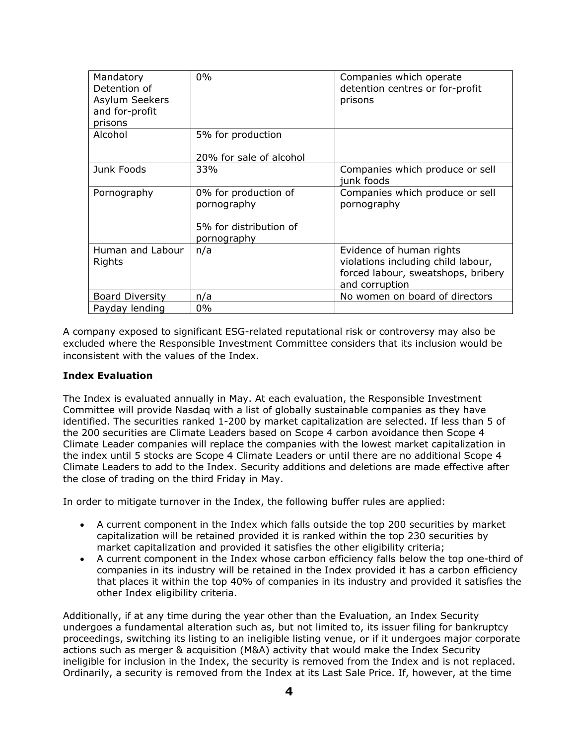| Mandatory<br>Detention of<br>Asylum Seekers<br>and for-profit<br>prisons | $0\%$                                                                        | Companies which operate<br>detention centres or for-profit<br>prisons                                                  |
|--------------------------------------------------------------------------|------------------------------------------------------------------------------|------------------------------------------------------------------------------------------------------------------------|
| Alcohol                                                                  | 5% for production<br>20% for sale of alcohol                                 |                                                                                                                        |
| Junk Foods                                                               | 33%                                                                          | Companies which produce or sell<br>junk foods                                                                          |
| Pornography                                                              | 0% for production of<br>pornography<br>5% for distribution of<br>pornography | Companies which produce or sell<br>pornography                                                                         |
| Human and Labour<br>Rights                                               | n/a                                                                          | Evidence of human rights<br>violations including child labour,<br>forced labour, sweatshops, bribery<br>and corruption |
| <b>Board Diversity</b>                                                   | n/a                                                                          | No women on board of directors                                                                                         |
| Payday lending                                                           | $0\%$                                                                        |                                                                                                                        |

A company exposed to significant ESG-related reputational risk or controversy may also be excluded where the Responsible Investment Committee considers that its inclusion would be inconsistent with the values of the Index.

#### **Index Evaluation**

The Index is evaluated annually in May. At each evaluation, the Responsible Investment Committee will provide Nasdaq with a list of globally sustainable companies as they have identified. The securities ranked 1-200 by market capitalization are selected. If less than 5 of the 200 securities are Climate Leaders based on Scope 4 carbon avoidance then Scope 4 Climate Leader companies will replace the companies with the lowest market capitalization in the index until 5 stocks are Scope 4 Climate Leaders or until there are no additional Scope 4 Climate Leaders to add to the Index. Security additions and deletions are made effective after the close of trading on the third Friday in May.

In order to mitigate turnover in the Index, the following buffer rules are applied:

- A current component in the Index which falls outside the top 200 securities by market capitalization will be retained provided it is ranked within the top 230 securities by market capitalization and provided it satisfies the other eligibility criteria;
- A current component in the Index whose carbon efficiency falls below the top one-third of companies in its industry will be retained in the Index provided it has a carbon efficiency that places it within the top 40% of companies in its industry and provided it satisfies the other Index eligibility criteria.

Additionally, if at any time during the year other than the Evaluation, an Index Security undergoes a fundamental alteration such as, but not limited to, its issuer filing for bankruptcy proceedings, switching its listing to an ineligible listing venue, or if it undergoes major corporate actions such as merger & acquisition (M&A) activity that would make the Index Security ineligible for inclusion in the Index, the security is removed from the Index and is not replaced. Ordinarily, a security is removed from the Index at its Last Sale Price. If, however, at the time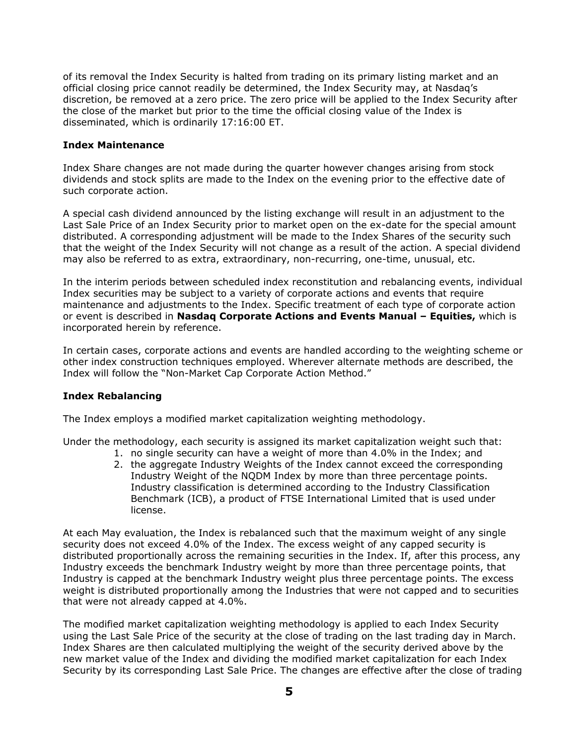of its removal the Index Security is halted from trading on its primary listing market and an official closing price cannot readily be determined, the Index Security may, at Nasdaq's discretion, be removed at a zero price. The zero price will be applied to the Index Security after the close of the market but prior to the time the official closing value of the Index is disseminated, which is ordinarily 17:16:00 ET.

#### **Index Maintenance**

Index Share changes are not made during the quarter however changes arising from stock dividends and stock splits are made to the Index on the evening prior to the effective date of such corporate action.

A special cash dividend announced by the listing exchange will result in an adjustment to the Last Sale Price of an Index Security prior to market open on the ex-date for the special amount distributed. A corresponding adjustment will be made to the Index Shares of the security such that the weight of the Index Security will not change as a result of the action. A special dividend may also be referred to as extra, extraordinary, non-recurring, one-time, unusual, etc.

In the interim periods between scheduled index reconstitution and rebalancing events, individual Index securities may be subject to a variety of corporate actions and events that require maintenance and adjustments to the Index. Specific treatment of each type of corporate action or event is described in **Nasdaq Corporate Actions and Events Manual – Equities,** which is incorporated herein by reference.

In certain cases, corporate actions and events are handled according to the weighting scheme or other index construction techniques employed. Wherever alternate methods are described, the Index will follow the "Non-Market Cap Corporate Action Method."

#### **Index Rebalancing**

The Index employs a modified market capitalization weighting methodology.

Under the methodology, each security is assigned its market capitalization weight such that:

- 1. no single security can have a weight of more than 4.0% in the Index; and
- 2. the aggregate Industry Weights of the Index cannot exceed the corresponding Industry Weight of the NQDM Index by more than three percentage points. Industry classification is determined according to the Industry Classification Benchmark (ICB), a product of FTSE International Limited that is used under license.

At each May evaluation, the Index is rebalanced such that the maximum weight of any single security does not exceed 4.0% of the Index. The excess weight of any capped security is distributed proportionally across the remaining securities in the Index. If, after this process, any Industry exceeds the benchmark Industry weight by more than three percentage points, that Industry is capped at the benchmark Industry weight plus three percentage points. The excess weight is distributed proportionally among the Industries that were not capped and to securities that were not already capped at 4.0%.

The modified market capitalization weighting methodology is applied to each Index Security using the Last Sale Price of the security at the close of trading on the last trading day in March. Index Shares are then calculated multiplying the weight of the security derived above by the new market value of the Index and dividing the modified market capitalization for each Index Security by its corresponding Last Sale Price. The changes are effective after the close of trading